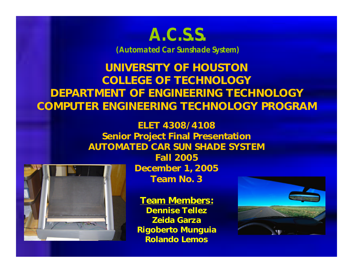### **A.C.S.S.**

**(Automated Car Sunshade System)**

### **UNIVERSITY OF HOUSTON COLLEGE OF TECHNOLOGY DEPARTMENT OF ENGINEERING TECHNOLOGY COMPUTER ENGINEERING TECHNOLOGY PROGRAM**

### *ELET 4308/4108 Senior Project Final Presentation AUTOMATED CAR SUN SHADE SYSTEM Fall 2005 December 1, 2005* **Team No. 3**



**Team Members:** *Dennise Tellez Zeida Garza Rigoberto Munguia Rolando Lemos*

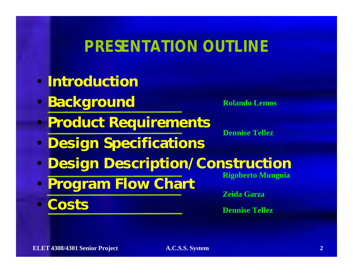### **PRESENTATION OUTLINE**

- *Introduction*
- *Background*

**Rolando Lemos**

• *Product Requirements*

**Dennise Tellez**

- *Design Specifications*
- *Design Description/Construction*
- *Program Flow Chart*
- *Costs*

**Rigoberto Munguia**

**Zeida Garza**

**Dennise Tellez**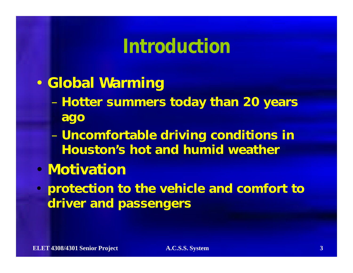## **Introduction**

- *Global Warming*
	- *Hotter summers today than 20 years ago*
	- *Uncomfortable driving conditions in Houston's hot and humid weather*
- *Motivation*
- *protection to the vehicle and comfort to driver and passengers*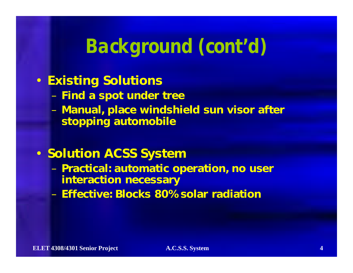# **Background (cont'd)**

### • *Existing Solutions*

- *Find a spot under tree*
- *Manual, place windshield sun visor after stopping automobile*

### • *Solution ACSS System*

- *Practical: automatic operation, no user interaction necessary*
- *Effective: Blocks 80% solar radiation*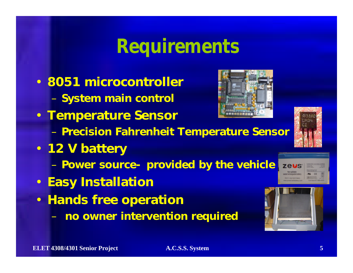# **Requirements**

- *8051 microcontroller*
	- *System main control*
- *Temperature Sensor*  – *Precision Fahrenheit Temperature Sensor*
- *12 V battery*
	- *Power source- provided by the vehicle*
- *Easy Installation*
- *Hands free operation*
	- *no owner intervention required*





zeus

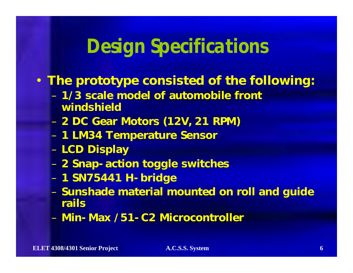# **Design Specifications**

- *The prototype consisted of the following:*
	- *1/3 scale model of automobile front windshield*
	- *2 DC Gear Motors (12V, 21 RPM)*
	- *1 LM34 Temperature Sensor*
	- *LCD Display*
	- *2 Snap-action toggle switches*
	- *1 SN75441 H-bridge*
	- *Sunshade material mounted on roll and guide rails*
	- *Min-Max /51-C2 Microcontroller*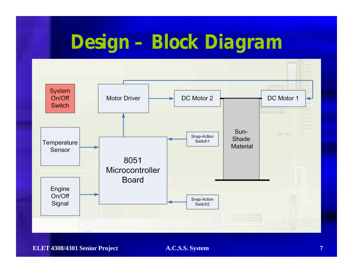# **Design – Block Diagram**

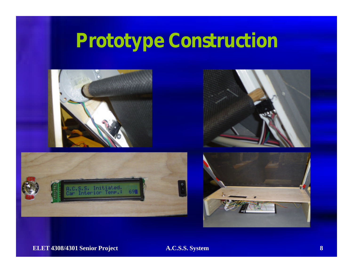# **Prototype Construction**







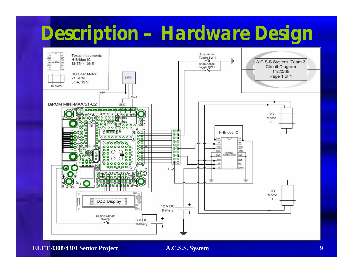# **Description – Hardware Design**

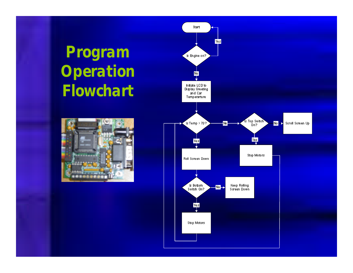## **Program Operation Flowchart**



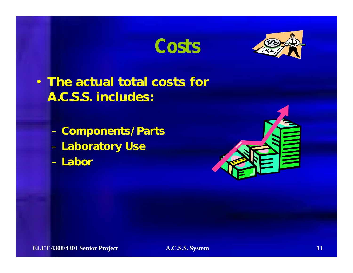## **Costs**



• *The actual total costs for A.C.S.S. includes:*

– *Components/Parts*

- *Laboratory Use*
- *Labor*

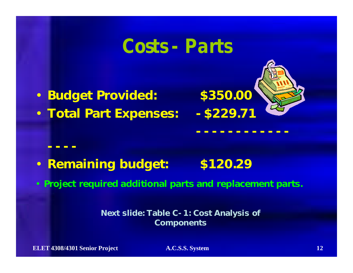## **Costs - Parts**

- *Budget Provided: \$350.00*
- *Total Part Expenses: -\$229.71*



• *Remaining budget: \$120.29*

• *Project required additional parts and replacement parts.*

*Next slide: Table C-1: Cost Analysis of Components*

**ELET 4308/4301 Senior Project A.C.S.S. System 12**

*----*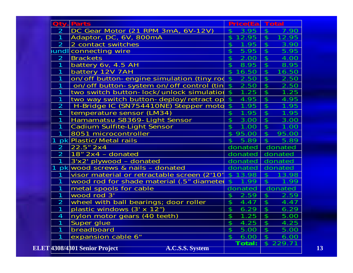|                 | <b>Oty. Parts</b>                                     | Price(Ea.                           | <b>Total</b>                 |  |
|-----------------|-------------------------------------------------------|-------------------------------------|------------------------------|--|
| $\overline{2}$  | DC Gear Motor (21 RPM 3mA, 6V-12V)                    | $3.95 \, \text{S}$<br>$\mathcal{L}$ | 7.90                         |  |
| $\mathbf{1}$    | Adaptor, DC, 6V, 800mA                                | $\frac{1}{2}$<br>12.95              | $\vert$ \$<br>12.95          |  |
| 2               | 2 contact switches                                    | $1.95$ \$<br>$\frac{1}{2}$          | 3.90                         |  |
|                 | undl connecting wire                                  | $\frac{1}{2}$<br>5.95               | $\frac{1}{2}$<br>5.95        |  |
| 2               | <b>Brackets</b>                                       | $\frac{4}{5}$<br>2.00               | $\mathcal{S}$<br><b>4.00</b> |  |
| $\mathbf{1}$    | battery 6v, 4.5 AH                                    | $\frac{1}{2}$<br>8.95               | $\mathfrak{D}$<br>8.95       |  |
| $\mathbf{1}$    | battery 12V 7AH                                       | \$16.50                             | $\frac{1}{2}$<br>16.50       |  |
| 1               | on/off button-engine simulation (tiny rod \$          | 2.50                                | $\frac{1}{2}$<br>2.50        |  |
| $\mathbf{1}$    | on/off button-system on/off control (tin \$           | 2.50                                | $\mathcal{L}$<br>2.50        |  |
| $\mathbf 1$     | two switch button-lock/unlock simulation \$ 1.25   \$ |                                     | 1.25                         |  |
| $\mathbf{1}$    | two way switch button-deploy/retract op \$            | 4.95                                | $\mathfrak{S}$<br>4.95       |  |
| 2               | H-Bridge IC (SN754410NE) Stepper moto \$              | 1.95                                | $\frac{1}{2}$<br>1.95        |  |
| $\mathbf{1}$    | temperature sensor (LM34)                             | $\frac{1}{2}$<br>1.95               | $\frac{4}{5}$<br>1.95        |  |
| $\mathbf{1}$    | Hamamatsu S8369-Light Sensor                          | $\mathfrak{P}$<br>3.00              | $\frac{1}{2}$<br>3.00        |  |
| $\mathbf 1$     | <b>Cadium Sulfite-Light Sensor</b>                    | $\frac{4}{5}$<br>1.00               | $\frac{4}{5}$<br>1.00        |  |
| 1               | 8051 microcontroller                                  | \$95.00                             | $\mathcal{L}$<br>95.00       |  |
|                 | pk Plastic/Metal rails                                | $5.89$ \$<br>$\mathcal{L}$          | 5.89                         |  |
| $\overline{2}$  | 22.5" 2x4                                             |                                     | donated donated              |  |
| $\overline{2}$  | $18''$ 2x4 – donated                                  |                                     | donated donated              |  |
| $\blacklozenge$ | 3'x2' plywood - donated                               | donated                             | donated                      |  |
|                 | pk wood screws & nails - donated                      | donated                             | donated                      |  |
| $\mathbf 1$     | visor material or retractable screen (2'10" \$ 13.98  |                                     | $\mathcal{L}$<br>13.98       |  |
| 1               | wood rod for shade material (.5" diameter \$          | 1.99                                | $\mathcal{L}$<br>1.99        |  |
| 1               | metal spools for cable                                |                                     | $donated$ donated            |  |
| $\mathbf{1}$    | wood rod 3'                                           | $\frac{1}{2}$<br>2.59               | $\frac{1}{2}$<br>2.59        |  |
| 2               | wheel with ball bearings; door roller                 | $\frac{4}{5}$<br>4.47               | $\mathcal{L}$<br>4.47        |  |
| $\mathbf{1}$    | plastic windows (3' x 12")                            | $\frac{4}{5}$<br>6.29               | $\frac{1}{2}$<br>6.29        |  |
| $\overline{4}$  | nylon motor gears (40 teeth)                          | 1.25<br>$\frac{4}{5}$               | $\mathfrak{S}$<br>5.00       |  |
| 1               | Super glue                                            | $\mathfrak{P}$<br>4.25              | $\frac{4}{5}$<br>4.25        |  |
| 1               | breadboard                                            | $\frac{1}{2}$<br>5.00               | $\frac{4}{5}$<br>5.00        |  |
| $\mathbf{1}$    | expansion cable 6"                                    | $\mathfrak{D}$<br>6.00              | $\frac{1}{2}$<br>6.00        |  |
|                 |                                                       | Total:                              | $\frac{1}{2}$<br>229.71      |  |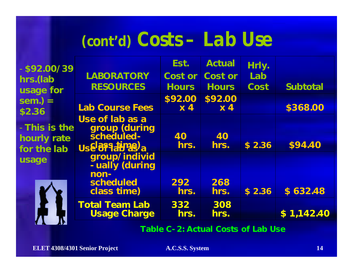## **(cont'd) Costs – Lab Use**

|                                                                               | Est.                                   | <b>Actual</b>                          |        |                 |
|-------------------------------------------------------------------------------|----------------------------------------|----------------------------------------|--------|-----------------|
| <b>LABORATORY</b>                                                             | Cost or                                | <b>Cost or</b>                         | Lab    |                 |
| <b>RESOURCES</b>                                                              | <b>Hours</b>                           | <b>Hours</b>                           | Cost   | <b>Subtotal</b> |
| <b>Lab Course Fees</b>                                                        | \$92.00<br>$\boldsymbol{\mathsf{x}}$ 4 | \$92.00<br>$\boldsymbol{\mathsf{x}}$ 4 |        | \$368.00        |
| Use of lab as a<br>group (during<br>scheduled-<br>Use <sup>l</sup> ass time a | 40<br>hrs.                             | 40<br>hrs.                             | \$2.36 | \$94.40         |
| group/individ<br>-ually (during<br>$non-$<br>scheduled                        | 292                                    | 268                                    |        | \$632.48        |
| <b>Total Team Lab</b><br><b>Usage Charge</b>                                  | 332<br>hrs.                            | 308<br>hrs.                            |        | \$1,142.40      |
|                                                                               | class time)                            | hrs.                                   | hrs.   | Hrly.<br>\$2.36 |

#### *Table C-2: Actual Costs of Lab Use*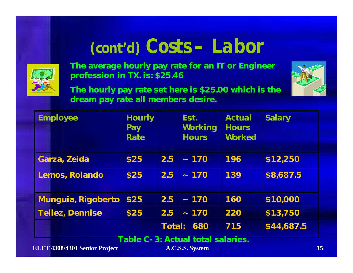# **(cont'd) Costs – Labor**



*The average hourly pay rate for an IT or Engineer profession in TX. is: \$25.46*

*The hourly pay rate set here is \$25.00 which is the dream pay rate all members desire.*



| <b>Employee</b>                   | <b>Hourly</b><br><b>Pay</b><br>Rate |     | Est.<br><b>Working</b><br><b>Hours</b> | <b>Actual</b><br><b>Hours</b><br><b>Worked</b> | <b>Salary</b> |  |
|-----------------------------------|-------------------------------------|-----|----------------------------------------|------------------------------------------------|---------------|--|
| Garza, Zeida                      | \$25                                | 2.5 | $-170$                                 | 196                                            | \$12,250      |  |
| <b>Lemos, Rolando</b>             | \$25                                | 2.5 | $-170$                                 | 139                                            | \$8,687.5     |  |
| Munguia, Rigoberto                | \$25                                | 2.5 | $\sim 170$                             | 160                                            | \$10,000      |  |
| <b>Tellez, Dennise</b>            | \$25                                | 2.5 | $-170$                                 | 220                                            | \$13,750      |  |
| <b>Total:</b><br>680              |                                     |     |                                        | 715                                            | \$44,687.5    |  |
| Table C-3: Actual total salaries. |                                     |     |                                        |                                                |               |  |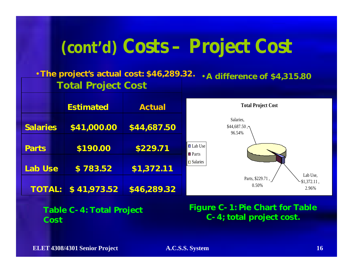## **(cont'd) Costs – Project Cost**

#### •**The project's actual cost: \$46,289.32. Total Project Cost** •*A difference of \$4,315.80*

|                 | <b>Estimated</b> | <b>Actual</b> | <b>Total Project Cost</b>                                         |
|-----------------|------------------|---------------|-------------------------------------------------------------------|
| <b>Salaries</b> | \$41,000.00      | \$44,687.50   | Salaries.<br>$$44,687.50, \neg$<br>96.54%                         |
| <b>Parts</b>    | \$190.00         | \$229.71      | $\Box$ Lab Use<br>$\blacksquare$ Parts                            |
| Lab Use         | \$783.52         | \$1,372.11    | $\Box$ Salaries                                                   |
| <b>TOTAL:</b>   | \$41,973.52      | \$46,289.32   | Lab Use,<br>Parts, \$229.71,<br>$-$ \$1,372.11,<br>0.50%<br>2.96% |

**Table C-4: Total Project Cost**

**Figure C-1: Pie Chart for Table C-4; total project cost.**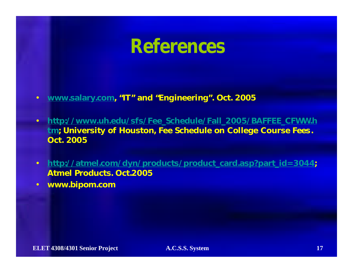## **References**

- *www.salary.com, "IT" and "Engineering". Oct. 2005*
- *http://www.uh.edu/sfs/Fee\_Schedule/Fall\_2005/BAFFEE\_CFWW.h tm; University of Houston, Fee Schedule on College Course Fees. Oct. 2005*
- *http://atmel.com/dyn/products/product\_card.asp?part\_id=3044; Atmel Products. Oct.2005*
- *www.bipom.com*